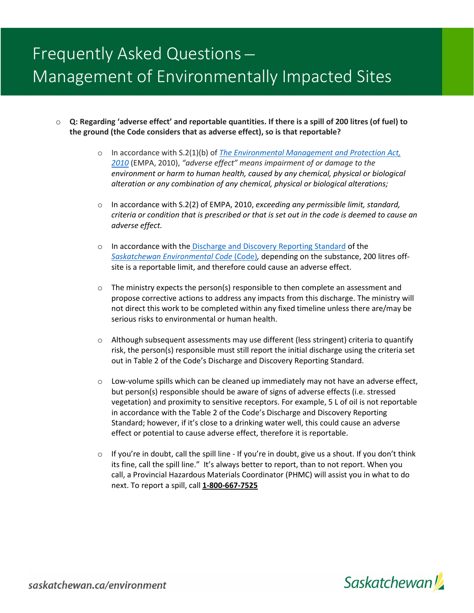# Frequently Asked Questions ̶ Management of Environmentally Impacted Sites

- o **Q: Regarding 'adverse effect' and reportable quantities. If there is a spill of 200 litres (of fuel) to the ground (the Code considers that as adverse effect), so is that reportable?**
	- o In accordance with S.2(1)(b) of *[The Environmental Management and Protection Act,](https://publications.saskatchewan.ca/#/products/31893)  [2010](https://publications.saskatchewan.ca/#/products/31893)* (EMPA, 2010), *"adverse effect" means impairment of or damage to the environment or harm to human health, caused by any chemical, physical or biological alteration or any combination of any chemical, physical or biological alterations;*
	- o In accordance with S.2(2) of EMPA, 2010, *exceeding any permissible limit, standard, criteria or condition that is prescribed or that is set out in the code is deemed to cause an adverse effect.*
	- o In accordance with the [Discharge and Discovery Reporting Standard](https://publications.saskatchewan.ca/#/products/80028) of the *[Saskatchewan Environmental Code](https://publications.saskatchewan.ca/#/categories/69)* (Code)*,* depending on the substance, 200 litres offsite is a reportable limit, and therefore could cause an adverse effect.
	- $\circ$  The ministry expects the person(s) responsible to then complete an assessment and propose corrective actions to address any impacts from this discharge. The ministry will not direct this work to be completed within any fixed timeline unless there are/may be serious risks to environmental or human health.
	- $\circ$  Although subsequent assessments may use different (less stringent) criteria to quantify risk, the person(s) responsible must still report the initial discharge using the criteria set out in Table 2 of the Code's Discharge and Discovery Reporting Standard.
	- $\circ$  Low-volume spills which can be cleaned up immediately may not have an adverse effect, but person(s) responsible should be aware of signs of adverse effects (i.e. stressed vegetation) and proximity to sensitive receptors. For example, 5 L of oil is not reportable in accordance with the Table 2 of the Code's Discharge and Discovery Reporting Standard; however, if it's close to a drinking water well, this could cause an adverse effect or potential to cause adverse effect, therefore it is reportable.
	- $\circ$  If you're in doubt, call the spill line If you're in doubt, give us a shout. If you don't think its fine, call the spill line." It's always better to report, than to not report. When you call, a Provincial Hazardous Materials Coordinator (PHMC) will assist you in what to do next. To report a spill, call **1-800-667-7525**



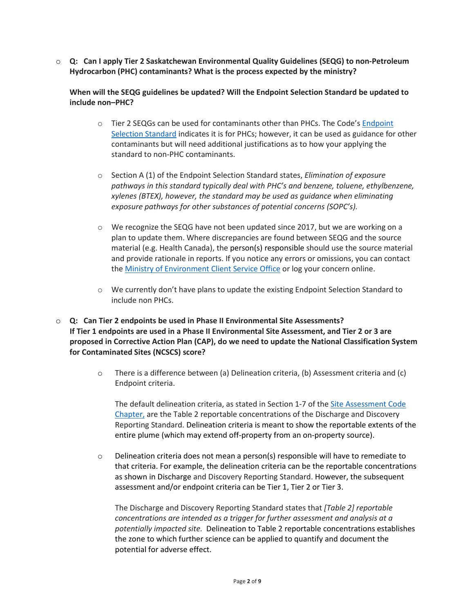o **Q: Can I apply Tier 2 Saskatchewan Environmental Quality Guidelines (SEQG) to non-Petroleum Hydrocarbon (PHC) contaminants? What is the process expected by the ministry?**

**When will the SEQG guidelines be updated? Will the Endpoint Selection Standard be updated to include non–PHC?**

- o Tier 2 SEQGs can be used for contaminants other than PHCs. The Code's [Endpoint](https://publications.saskatchewan.ca/#/products/77488)  [Selection Standard](https://publications.saskatchewan.ca/#/products/77488) indicates it is for PHCs; however, it can be used as guidance for other contaminants but will need additional justifications as to how your applying the standard to non-PHC contaminants.
- o Section A (1) of the Endpoint Selection Standard states, *Elimination of exposure pathways in this standard typically deal with PHC's and benzene, toluene, ethylbenzene, xylenes (BTEX), however, the standard may be used as guidance when eliminating exposure pathways for other substances of potential concerns (SOPC's).*
- $\circ$  We recognize the SEQG have not been updated since 2017, but we are working on a plan to update them. Where discrepancies are found between SEQG and the source material (e.g. Health Canada), the person(s) responsible should use the source material and provide rationale in reports. If you notice any errors or omissions, you can contact the [Ministry of Environment Client Service Office](https://envrbrportal.crm.saskatchewan.ca/seqg-search/) or log your concern online.
- $\circ$  We currently don't have plans to update the existing Endpoint Selection Standard to include non PHCs.
- o **Q: Can Tier 2 endpoints be used in Phase II Environmental Site Assessments? If Tier 1 endpoints are used in a Phase II Environmental Site Assessment, and Tier 2 or 3 are proposed in Corrective Action Plan (CAP), do we need to update the National Classification System for Contaminated Sites (NCSCS) score?**
	- o There is a difference between (a) Delineation criteria, (b) Assessment criteria and (c) Endpoint criteria.

The default delineation criteria, as stated in Section 1-7 of the [Site Assessment Code](https://publications.saskatchewan.ca/#/categories/69)  [Chapter,](https://publications.saskatchewan.ca/#/categories/69) are the Table 2 reportable concentrations of the Discharge and Discovery Reporting Standard. Delineation criteria is meant to show the reportable extents of the entire plume (which may extend off-property from an on-property source).

 $\circ$  Delineation criteria does not mean a person(s) responsible will have to remediate to that criteria. For example, the delineation criteria can be the reportable concentrations as shown in Discharge and Discovery Reporting Standard. However, the subsequent assessment and/or endpoint criteria can be Tier 1, Tier 2 or Tier 3.

The Discharge and Discovery Reporting Standard states that *[Table 2] reportable concentrations are intended as a trigger for further assessment and analysis at a potentially impacted site.*Delineation to Table 2 reportable concentrations establishes the zone to which further science can be applied to quantify and document the potential for adverse effect.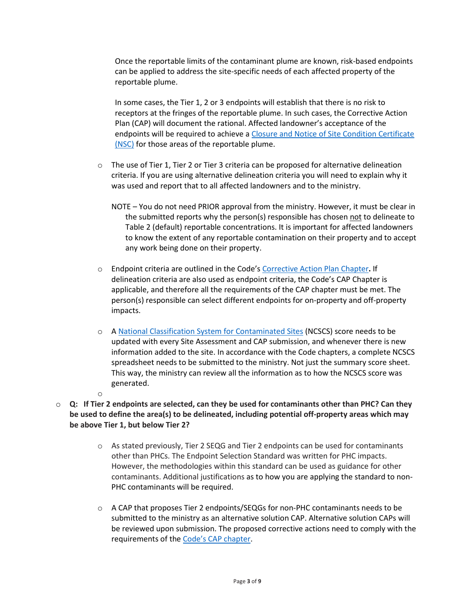Once the reportable limits of the contaminant plume are known, risk-based endpoints can be applied to address the site-specific needs of each affected property of the reportable plume.

In some cases, the Tier 1, 2 or 3 endpoints will establish that there is no risk to receptors at the fringes of the reportable plume. In such cases, the Corrective Action Plan (CAP) will document the rational. Affected landowner's acceptance of the endpoints will be required to achieve a [Closure and Notice of Site Condition Certificate](https://publications.saskatchewan.ca/#/products/73872)  [\(NSC\)](https://publications.saskatchewan.ca/#/products/73872) for those areas of the reportable plume.

- $\circ$  The use of Tier 1, Tier 2 or Tier 3 criteria can be proposed for alternative delineation criteria. If you are using alternative delineation criteria you will need to explain why it was used and report that to all affected landowners and to the ministry.
	- NOTE You do not need PRIOR approval from the ministry. However, it must be clear in the submitted reports why the person(s) responsible has chosen not to delineate to Table 2 (default) reportable concentrations. It is important for affected landowners to know the extent of any reportable contamination on their property and to accept any work being done on their property.
- o Endpoint criteria are outlined in the Code's [Corrective Action Plan Chapter](https://publications.saskatchewan.ca/#/products/78243)**.** If delineation criteria are also used as endpoint criteria, the Code's CAP Chapter is applicable, and therefore all the requirements of the CAP chapter must be met. The person(s) responsible can select different endpoints for on-property and off-property impacts.
- o A [National Classification System for Contaminated Sites](https://www.ccme.ca/files/Resources/csm/pn_1403_ncscs_guidance_e2.pdf) (NCSCS) score needs to be updated with every Site Assessment and CAP submission, and whenever there is new information added to the site. In accordance with the Code chapters, a complete NCSCS spreadsheet needs to be submitted to the ministry. Not just the summary score sheet. This way, the ministry can review all the information as to how the NCSCS score was generated.
- o
- o **Q: If Tier 2 endpoints are selected, can they be used for contaminants other than PHC? Can they be used to define the area(s) to be delineated, including potential off-property areas which may be above Tier 1, but below Tier 2?** 
	- o As stated previously, Tier 2 SEQG and Tier 2 endpoints can be used for contaminants other than PHCs. The Endpoint Selection Standard was written for PHC impacts. However, the methodologies within this standard can be used as guidance for other contaminants. Additional justifications as to how you are applying the standard to non-PHC contaminants will be required.
	- $\circ$  A CAP that proposes Tier 2 endpoints/SEQGs for non-PHC contaminants needs to be submitted to the ministry as an alternative solution CAP. Alternative solution CAPs will be reviewed upon submission. The proposed corrective actions need to comply with the requirements of the [Code's CAP chapter.](https://publications.saskatchewan.ca/#/products/78243)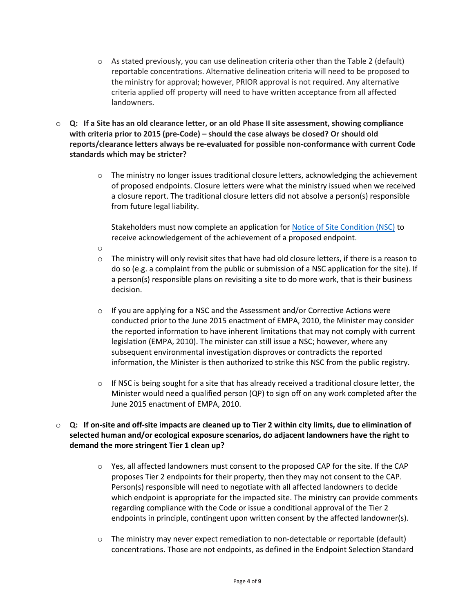- $\circ$  As stated previously, you can use delineation criteria other than the Table 2 (default) reportable concentrations. Alternative delineation criteria will need to be proposed to the ministry for approval; however, PRIOR approval is not required. Any alternative criteria applied off property will need to have written acceptance from all affected landowners.
- o **Q: If a Site has an old clearance letter, or an old Phase II site assessment, showing compliance with criteria prior to 2015 (pre-Code) – should the case always be closed? Or should old reports/clearance letters always be re-evaluated for possible non-conformance with current Code standards which may be stricter?**
	- $\circ$  The ministry no longer issues traditional closure letters, acknowledging the achievement of proposed endpoints. Closure letters were what the ministry issued when we received a closure report. The traditional closure letters did not absolve a person(s) responsible from future legal liability.

Stakeholders must now complete an application for [Notice of Site Condition](https://publications.saskatchewan.ca/#/products/73872) (NSC) to receive acknowledgement of the achievement of a proposed endpoint.

- o
- $\circ$  The ministry will only revisit sites that have had old closure letters, if there is a reason to do so (e.g. a complaint from the public or submission of a NSC application for the site). If a person(s) responsible plans on revisiting a site to do more work, that is their business decision.
- $\circ$  If you are applying for a NSC and the Assessment and/or Corrective Actions were conducted prior to the June 2015 enactment of EMPA, 2010, the Minister may consider the reported information to have inherent limitations that may not comply with current legislation (EMPA, 2010). The minister can still issue a NSC; however, where any subsequent environmental investigation disproves or contradicts the reported information, the Minister is then authorized to strike this NSC from the public registry.
- $\circ$  If NSC is being sought for a site that has already received a traditional closure letter, the Minister would need a qualified person (QP) to sign off on any work completed after the June 2015 enactment of EMPA, 2010.
- o **Q: If on-site and off-site impacts are cleaned up to Tier 2 within city limits, due to elimination of selected human and/or ecological exposure scenarios, do adjacent landowners have the right to demand the more stringent Tier 1 clean up?**
	- $\circ$  Yes, all affected landowners must consent to the proposed CAP for the site. If the CAP proposes Tier 2 endpoints for their property, then they may not consent to the CAP. Person(s) responsible will need to negotiate with all affected landowners to decide which endpoint is appropriate for the impacted site. The ministry can provide comments regarding compliance with the Code or issue a conditional approval of the Tier 2 endpoints in principle, contingent upon written consent by the affected landowner(s).
	- $\circ$  The ministry may never expect remediation to non-detectable or reportable (default) concentrations. Those are not endpoints, as defined in the Endpoint Selection Standard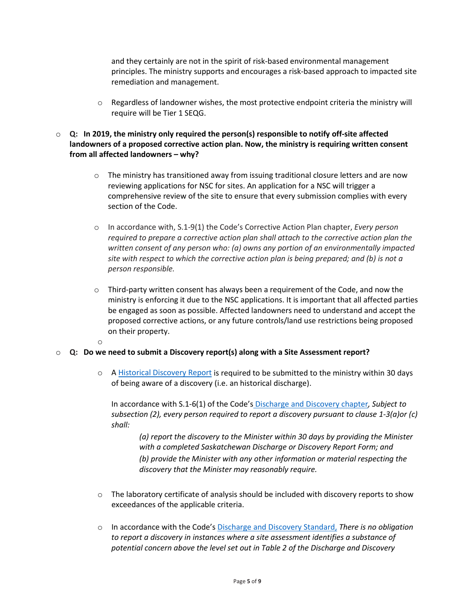and they certainly are not in the spirit of risk-based environmental management principles. The ministry supports and encourages a risk-based approach to impacted site remediation and management.

- $\circ$  Regardless of landowner wishes, the most protective endpoint criteria the ministry will require will be Tier 1 SEQG.
- o **Q: In 2019, the ministry only required the person(s) responsible to notify off-site affected landowners of a proposed corrective action plan. Now, the ministry is requiring written consent from all affected landowners – why?**
	- $\circ$  The ministry has transitioned away from issuing traditional closure letters and are now reviewing applications for NSC for sites. An application for a NSC will trigger a comprehensive review of the site to ensure that every submission complies with every section of the Code.
	- o In accordance with, S.1-9(1) the Code's Corrective Action Plan chapter, *Every person required to prepare a corrective action plan shall attach to the corrective action plan the written consent of any person who: (a) owns any portion of an environmentally impacted site with respect to which the corrective action plan is being prepared; and (b) is not a person responsible.*
	- $\circ$  Third-party written consent has always been a requirement of the Code, and now the ministry is enforcing it due to the NSC applications. It is important that all affected parties be engaged as soon as possible. Affected landowners need to understand and accept the proposed corrective actions, or any future controls/land use restrictions being proposed on their property.
	- o

# o **Q: Do we need to submit a Discovery report(s) along with a Site Assessment report?**

o A Historical [Discovery Report](https://publications.saskatchewan.ca/#/products/73870) is required to be submitted to the ministry within 30 days of being aware of a discovery (i.e. an historical discharge).

In accordance with S.1-6(1) of the Code's [Discharge and Discovery chapter](https://publications.saskatchewan.ca/#/categories/69)*, Subject to subsection (2), every person required to report a discovery pursuant to clause 1-3(a)or (c) shall:*

*(a) report the discovery to the Minister within 30 days by providing the Minister with a completed Saskatchewan Discharge or Discovery Report Form; and (b) provide the Minister with any other information or material respecting the discovery that the Minister may reasonably require.*

- $\circ$  The laboratory certificate of analysis should be included with discovery reports to show exceedances of the applicable criteria.
- o In accordance with the Code's [Discharge and Discovery Standard,](https://publications.saskatchewan.ca/#/products/80028) *There is no obligation to report a discovery in instances where a site assessment identifies a substance of potential concern above the level set out in Table 2 of the Discharge and Discovery*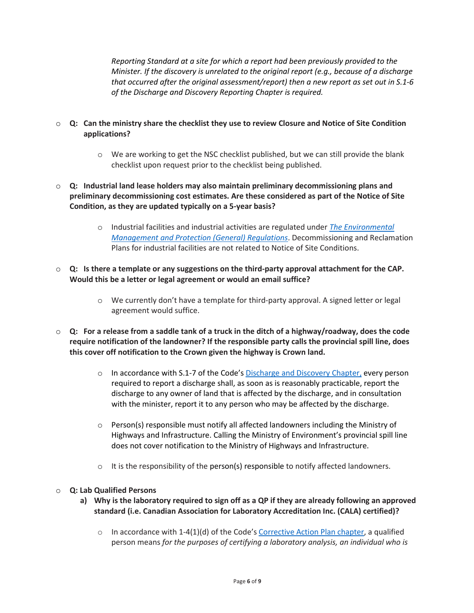*Reporting Standard at a site for which a report had been previously provided to the Minister. If the discovery is unrelated to the original report (e.g., because of a discharge that occurred after the original assessment/report) then a new report as set out in S.1-6 of the Discharge and Discovery Reporting Chapter is required.*

- o **Q: Can the ministry share the checklist they use to review Closure and Notice of Site Condition applications?**
	- o We are working to get the NSC checklist published, but we can still provide the blank checklist upon request prior to the checklist being published.
- o **Q: Industrial land lease holders may also maintain preliminary decommissioning plans and preliminary decommissioning cost estimates. Are these considered as part of the Notice of Site Condition, as they are updated typically on a 5-year basis?**
	- o Industrial facilities and industrial activities are regulated under *The [Environmental](https://publications.saskatchewan.ca/#/products/73291)  [Management and Protection \(General\) Regulations](https://publications.saskatchewan.ca/#/products/73291)*. Decommissioning and Reclamation Plans for industrial facilities are not related to Notice of Site Conditions.
- o **Q: Is there a template or any suggestions on the third-party approval attachment for the CAP. Would this be a letter or legal agreement or would an email suffice?**
	- o We currently don't have a template for third-party approval. A signed letter or legal agreement would suffice.
- o **Q: For a release from a saddle tank of a truck in the ditch of a highway/roadway, does the code require notification of the landowner? If the responsible party calls the provincial spill line, does this cover off notification to the Crown given the highway is Crown land.**
	- o In accordance with S.1-7 of the Code'[s Discharge and Discovery Chapter,](https://publications.saskatchewan.ca/#/products/79435) every person required to report a discharge shall, as soon as is reasonably practicable, report the discharge to any owner of land that is affected by the discharge, and in consultation with the minister, report it to any person who may be affected by the discharge.
	- $\circ$  Person(s) responsible must notify all affected landowners including the Ministry of Highways and Infrastructure. Calling the Ministry of Environment's provincial spill line does not cover notification to the Ministry of Highways and Infrastructure.
	- o It is the responsibility of the person(s) responsible to notify affected landowners.

#### o **Q: Lab Qualified Persons**

- **a) Why is the laboratory required to sign off as a QP if they are already following an approved standard (i.e. Canadian Association for Laboratory Accreditation Inc. (CALA) certified)?**
	- $\circ$  In accordance with 1-4(1)(d) of the Code's [Corrective Action Plan chapter,](https://publications.saskatchewan.ca/#/products/78243) a qualified person means *for the purposes of certifying a laboratory analysis, an individual who is*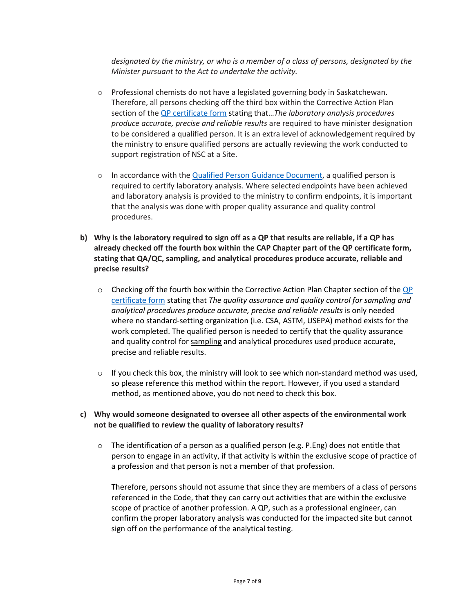*designated by the ministry, or who is a member of a class of persons, designated by the Minister pursuant to the Act to undertake the activity.*

- o Professional chemists do not have a legislated governing body in Saskatchewan. Therefore, all persons checking off the third box within the Corrective Action Plan section of the [QP certificate form](https://publications.saskatchewan.ca/#/products/78695) stating that…*The laboratory analysis procedures produce accurate, precise and reliable results* are required to have minister designation to be considered a qualified person. It is an extra level of acknowledgement required by the ministry to ensure qualified persons are actually reviewing the work conducted to support registration of NSC at a Site.
- $\circ$  In accordance with th[e Qualified Person Guidance Document,](https://publications.saskatchewan.ca/#/products/79434) a qualified person is required to certify laboratory analysis. Where selected endpoints have been achieved and laboratory analysis is provided to the ministry to confirm endpoints, it is important that the analysis was done with proper quality assurance and quality control procedures.
- **b) Why is the laboratory required to sign off as a QP that results are reliable, if a QP has already checked off the fourth box within the CAP Chapter part of the QP certificate form, stating that QA/QC, sampling, and analytical procedures produce accurate, reliable and precise results?**
	- $\circ$  Checking off the fourth box within the Corrective Action Plan Chapter section of the QP [certificate](https://publications.saskatchewan.ca/#/products/78695) form stating that *The quality assurance and quality control for sampling and analytical procedures produce accurate, precise and reliable results* is only needed where no standard-setting organization (i.e. CSA, ASTM, USEPA) method exists for the work completed. The qualified person is needed to certify that the quality assurance and quality control for sampling and analytical procedures used produce accurate, precise and reliable results.
	- $\circ$  If you check this box, the ministry will look to see which non-standard method was used, so please reference this method within the report. However, if you used a standard method, as mentioned above, you do not need to check this box.

#### **c) Why would someone designated to oversee all other aspects of the environmental work not be qualified to review the quality of laboratory results?**

 $\circ$  The identification of a person as a qualified person (e.g. P. Eng) does not entitle that person to engage in an activity, if that activity is within the exclusive scope of practice of a profession and that person is not a member of that profession.

Therefore, persons should not assume that since they are members of a class of persons referenced in the Code, that they can carry out activities that are within the exclusive scope of practice of another profession. A QP, such as a professional engineer, can confirm the proper laboratory analysis was conducted for the impacted site but cannot sign off on the performance of the analytical testing.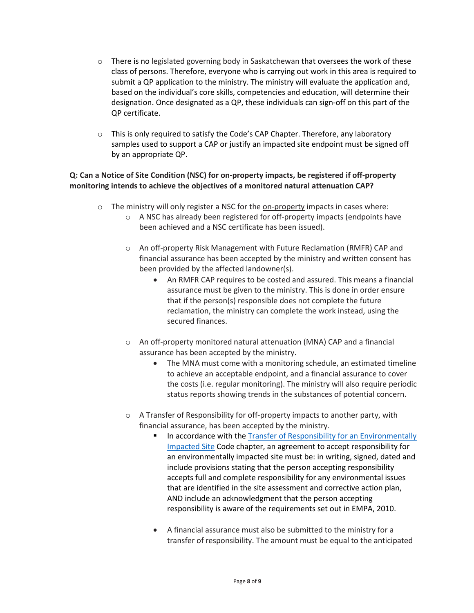- $\circ$  There is no legislated governing body in Saskatchewan that oversees the work of these class of persons. Therefore, everyone who is carrying out work in this area is required to submit a QP application to the ministry. The ministry will evaluate the application and, based on the individual's core skills, competencies and education, will determine their designation. Once designated as a QP, these individuals can sign-off on this part of the QP certificate.
- $\circ$  This is only required to satisfy the Code's CAP Chapter. Therefore, any laboratory samples used to support a CAP or justify an impacted site endpoint must be signed off by an appropriate QP.

## **Q: Can a Notice of Site Condition (NSC) for on-property impacts, be registered if off-property monitoring intends to achieve the objectives of a monitored natural attenuation CAP?**

- $\circ$  The ministry will only register a NSC for the on-property impacts in cases where:
	- o A NSC has already been registered for off-property impacts (endpoints have been achieved and a NSC certificate has been issued).
	- o An off-property Risk Management with Future Reclamation (RMFR) CAP and financial assurance has been accepted by the ministry and written consent has been provided by the affected landowner(s).
		- An RMFR CAP requires to be costed and assured. This means a financial assurance must be given to the ministry. This is done in order ensure that if the person(s) responsible does not complete the future reclamation, the ministry can complete the work instead, using the secured finances.
	- o An off-property monitored natural attenuation (MNA) CAP and a financial assurance has been accepted by the ministry.
		- The MNA must come with a monitoring schedule, an estimated timeline to achieve an acceptable endpoint, and a financial assurance to cover the costs (i.e. regular monitoring). The ministry will also require periodic status reports showing trends in the substances of potential concern.
	- o A Transfer of Responsibility for off-property impacts to another party, with financial assurance, has been accepted by the ministry.
		- In accordance with th[e Transfer of Responsibility for an](https://publications.saskatchewan.ca/#/products/77452) Environmentally [Impacted Site](https://publications.saskatchewan.ca/#/products/77452) Code chapter, an agreement to accept responsibility for an environmentally impacted site must be: in writing, signed, dated and include provisions stating that the person accepting responsibility accepts full and complete responsibility for any environmental issues that are identified in the site assessment and corrective action plan, AND include an acknowledgment that the person accepting responsibility is aware of the requirements set out in EMPA, 2010.
		- A financial assurance must also be submitted to the ministry for a transfer of responsibility. The amount must be equal to the anticipated